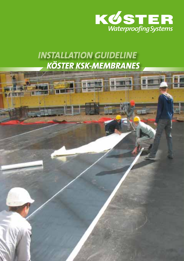

# *Installation guideline köster kSk-Membranes*

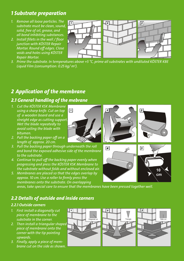# *1 Substrate preparation*

- *substrate must be clean, sound, solid, free of oil, grease, and all bond inhibiting substances.*
- *2. Install fillets in the wall / floor junction with KÖSTER Repair Mortar. Round off edges. Close voids and holes using KÖSTER Repair Mortar.*
- *3. Prime the substrate. In temperatures above +5 °C, prime all substrates with undiluted KÖSTER KBE Liquid Film (consumption: 0.25 kg/ m2 ).*

# *2 Application of the membrane*

## *2.1 General handling of the mebrane*

- *1. Cut the KÖSTER KSK Membrane using a sharp knife. Cut on top of a wooden board and use a streight edge as cutting support. Wet the blade repeatedly to avoid soiling the blade with bitumen.*
- *2. Pull the backing paper off on a length of approx. 20 cm.*
- 3. Pull the backing paper through underneath the roll **4 1 1 1 1 1 1 1** *and bond the exposed adhesive side of the membrane to the substrate.*
- *4. Continue to pull off the backing paper evenly when progressing and press the KÖSTER KSK Membrane to <b>b*  $\sqrt{6}$ *the substrate without folds and without enclosed air.*
- 5. Membranes are placed so that the edges overlap by *secured and all all of some of the state of the state of the state of the state of the state of the state of the state of the state of the state of the state of the st approx. 10 cm. Use a roller to firmly press the membranes onto the substrate. On overlapping*

*areas, take special care to ensure that the membranes have been pressed together well.*

### *2.2 Details of outside and inside corners*

#### *2.2.1 Outside corners*

- *1. First install a diagonally cut 1 2 piece* of *membrane* to the *substrate in the corner.*
- 2. Then install a triangular shaped *piece* of *membrane* onto the *corner* with the *tip pointing upwards.*
- *3. Finally, apply a piece of membrane cut on the side as shown.*







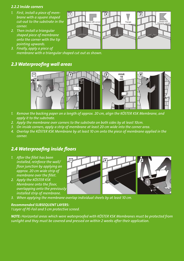#### *2.2.2 Inside corners*

- *1. First, install a piece of mem-* **11 <b>14 12 12 15** *brane* with a square shaped *corner.*
- 2. Then install a triangular *shaped piece of membrane <i>onto the corner* with *the tip pointing upwards.*
- *3. Finally, apply a piece of membrane with a triangular shaped cut out as shown.*

## *2.3 Waterproofing wall areas*



- *1. Remove the backing paper on a length of approx. 20 cm, align the KÖSTER KSK Membrane, and apply it to the substrate.*
- *2. Apply the membrane over corners to the substrate on both sides by at least 10cm.*
- *3. On inside corners, apply a strip of membrane at least 20 cm wide into the corner area.*
- 4. Overlap the KÖSTER KSK Membrane by at least 10 cm onto the piece of membrane applied in the *corner.*

### *2.4 Waterproofing inside floors*

- *installed, reinforce the wall/ floor junction by applying an approx. 20 cm wide strip of membrane* over the fillet.
- *2. Apply the KÖSTER KSK Membrane onto* the floor, *<i>overlapping* onto the previously *installed strip of membrane.*
- *3. When applying the membrane overlap individual sheets by at least 10 cm.*

#### *Recommended SUBSEQUENT LAYERS:*

*1 Layer of PE-Foil and 5 cm protective screed.*

*NOTE: Horizontal areas which were waterproofed with KÖSTER KSK Membranes must be protected from sunlight and they must be covered and pressed on within 2 weeks after their application.*